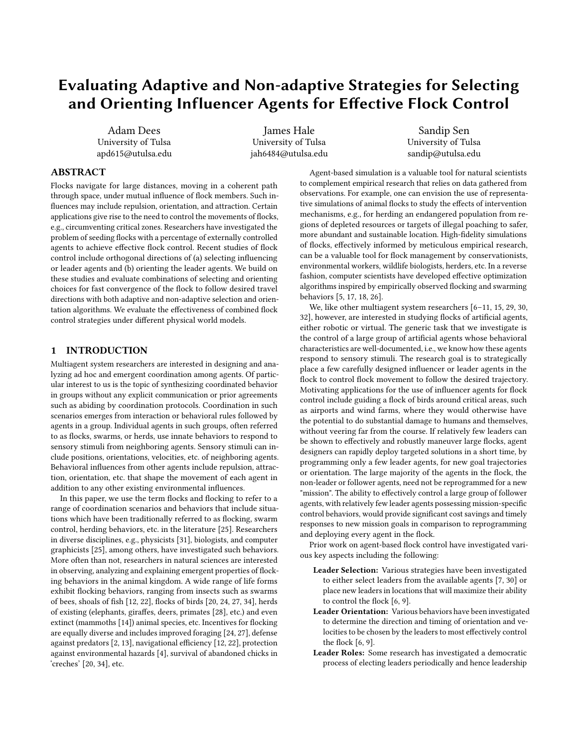# Evaluating Adaptive and Non-adaptive Strategies for Selecting and Orienting Influencer Agents for Effective Flock Control

Adam Dees University of Tulsa apd615@utulsa.edu

James Hale University of Tulsa jah6484@utulsa.edu

Sandip Sen University of Tulsa sandip@utulsa.edu

# ABSTRACT

Flocks navigate for large distances, moving in a coherent path through space, under mutual influence of flock members. Such influences may include repulsion, orientation, and attraction. Certain applications give rise to the need to control the movements of flocks, e.g., circumventing critical zones. Researchers have investigated the problem of seeding flocks with a percentage of externally controlled agents to achieve effective flock control. Recent studies of flock control include orthogonal directions of (a) selecting influencing or leader agents and (b) orienting the leader agents. We build on these studies and evaluate combinations of selecting and orienting choices for fast convergence of the flock to follow desired travel directions with both adaptive and non-adaptive selection and orientation algorithms. We evaluate the effectiveness of combined flock control strategies under different physical world models.

## 1 INTRODUCTION

Multiagent system researchers are interested in designing and analyzing ad hoc and emergent coordination among agents. Of particular interest to us is the topic of synthesizing coordinated behavior in groups without any explicit communication or prior agreements such as abiding by coordination protocols. Coordination in such scenarios emerges from interaction or behavioral rules followed by agents in a group. Individual agents in such groups, often referred to as flocks, swarms, or herds, use innate behaviors to respond to sensory stimuli from neighboring agents. Sensory stimuli can include positions, orientations, velocities, etc. of neighboring agents. Behavioral influences from other agents include repulsion, attraction, orientation, etc. that shape the movement of each agent in addition to any other existing environmental influences.

In this paper, we use the term flocks and flocking to refer to a range of coordination scenarios and behaviors that include situations which have been traditionally referred to as flocking, swarm control, herding behaviors, etc. in the literature [\[25\]](#page-8-0). Researchers in diverse disciplines, e.g., physicists [\[31\]](#page-8-1), biologists, and computer graphicists [\[25\]](#page-8-0), among others, have investigated such behaviors. More often than not, researchers in natural sciences are interested in observing, analyzing and explaining emergent properties of flocking behaviors in the animal kingdom. A wide range of life forms exhibit flocking behaviors, ranging from insects such as swarms of bees, shoals of fish [\[12,](#page-8-2) [22\]](#page-8-3), flocks of birds [\[20,](#page-8-4) [24,](#page-8-5) [27,](#page-8-6) [34\]](#page-8-7), herds of existing (elephants, giraffes, deers, primates [\[28\]](#page-8-8), etc.) and even extinct (mammoths [\[14\]](#page-8-9)) animal species, etc. Incentives for flocking are equally diverse and includes improved foraging [\[24,](#page-8-5) [27\]](#page-8-6), defense against predators [\[2,](#page-8-10) [13\]](#page-8-11), navigational efficiency [\[12,](#page-8-2) [22\]](#page-8-3), protection against environmental hazards [\[4\]](#page-8-12), survival of abandoned chicks in 'creches' [\[20,](#page-8-4) [34\]](#page-8-7), etc.

Agent-based simulation is a valuable tool for natural scientists to complement empirical research that relies on data gathered from observations. For example, one can envision the use of representative simulations of animal flocks to study the effects of intervention mechanisms, e.g., for herding an endangered population from regions of depleted resources or targets of illegal poaching to safer, more abundant and sustainable location. High-fidelity simulations of flocks, effectively informed by meticulous empirical research, can be a valuable tool for flock management by conservationists, environmental workers, wildlife biologists, herders, etc. In a reverse fashion, computer scientists have developed effective optimization algorithms inspired by empirically observed flocking and swarming behaviors [\[5,](#page-8-13) [17,](#page-8-14) [18,](#page-8-15) [26\]](#page-8-16).

We, like other multiagent system researchers [\[6–](#page-8-17)[11,](#page-8-18) [15,](#page-8-19) [29,](#page-8-20) [30,](#page-8-21) [32\]](#page-8-22), however, are interested in studying flocks of artificial agents, either robotic or virtual. The generic task that we investigate is the control of a large group of artificial agents whose behavioral characteristics are well-documented, i.e., we know how these agents respond to sensory stimuli. The research goal is to strategically place a few carefully designed influencer or leader agents in the flock to control flock movement to follow the desired trajectory. Motivating applications for the use of influencer agents for flock control include guiding a flock of birds around critical areas, such as airports and wind farms, where they would otherwise have the potential to do substantial damage to humans and themselves, without veering far from the course. If relatively few leaders can be shown to effectively and robustly maneuver large flocks, agent designers can rapidly deploy targeted solutions in a short time, by programming only a few leader agents, for new goal trajectories or orientation. The large majority of the agents in the flock, the non-leader or follower agents, need not be reprogrammed for a new "mission". The ability to effectively control a large group of follower agents, with relatively few leader agents possessing mission-specific control behaviors, would provide significant cost savings and timely responses to new mission goals in comparison to reprogramming and deploying every agent in the flock.

Prior work on agent-based flock control have investigated various key aspects including the following:

- Leader Selection: Various strategies have been investigated to either select leaders from the available agents [\[7,](#page-8-23) [30\]](#page-8-21) or place new leaders in locations that will maximize their ability to control the flock [\[6,](#page-8-17) [9\]](#page-8-24).
- Leader Orientation: Various behaviors have been investigated to determine the direction and timing of orientation and velocities to be chosen by the leaders to most effectively control the flock [\[6,](#page-8-17) [9\]](#page-8-24).
- Leader Roles: Some research has investigated a democratic process of electing leaders periodically and hence leadership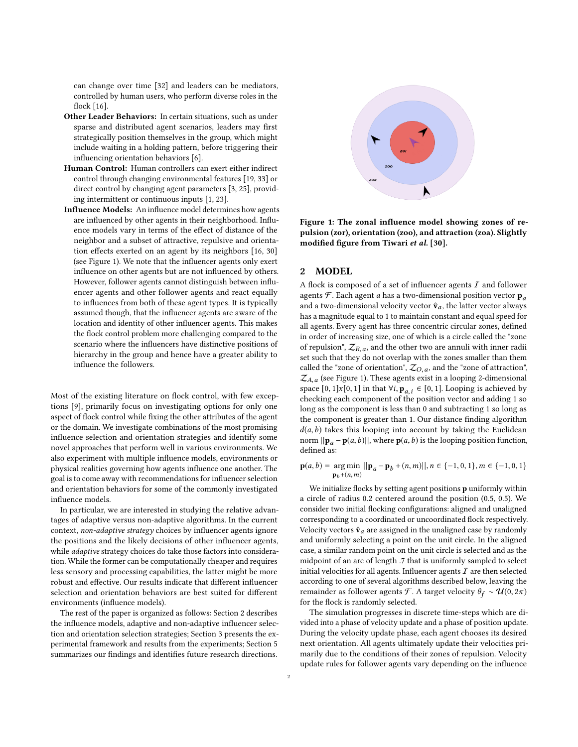can change over time [\[32\]](#page-8-22) and leaders can be mediators, controlled by human users, who perform diverse roles in the flock [\[16\]](#page-8-25).

- Other Leader Behaviors: In certain situations, such as under sparse and distributed agent scenarios, leaders may first strategically position themselves in the group, which might include waiting in a holding pattern, before triggering their influencing orientation behaviors [\[6\]](#page-8-17).
- Human Control: Human controllers can exert either indirect control through changing environmental features [\[19,](#page-8-26) [33\]](#page-8-27) or direct control by changing agent parameters [\[3,](#page-8-28) [25\]](#page-8-0), providing intermittent or continuous inputs [\[1,](#page-8-29) [23\]](#page-8-30).
- Influence Models: An influence model determines how agents are influenced by other agents in their neighborhood. Influence models vary in terms of the effect of distance of the neighbor and a subset of attractive, repulsive and orientation effects exerted on an agent by its neighbors [\[16,](#page-8-25) [30\]](#page-8-21) (see Figure [1\)](#page-1-0). We note that the influencer agents only exert influence on other agents but are not influenced by others. However, follower agents cannot distinguish between influencer agents and other follower agents and react equally to influences from both of these agent types. It is typically assumed though, that the influencer agents are aware of the location and identity of other influencer agents. This makes the flock control problem more challenging compared to the scenario where the influencers have distinctive positions of hierarchy in the group and hence have a greater ability to influence the followers.

Most of the existing literature on flock control, with few exceptions [\[9\]](#page-8-24), primarily focus on investigating options for only one aspect of flock control while fixing the other attributes of the agent or the domain. We investigate combinations of the most promising influence selection and orientation strategies and identify some novel approaches that perform well in various environments. We also experiment with multiple influence models, environments or physical realities governing how agents influence one another. The goal is to come away with recommendations for influencer selection and orientation behaviors for some of the commonly investigated influence models.

In particular, we are interested in studying the relative advantages of adaptive versus non-adaptive algorithms. In the current context, non-adaptive strategy choices by influencer agents ignore the positions and the likely decisions of other influencer agents, while *adaptive* strategy choices do take those factors into consideration. While the former can be computationally cheaper and requires less sensory and processing capabilities, the latter might be more robust and effective. Our results indicate that different influencer selection and orientation behaviors are best suited for different environments (influence models).

The rest of the paper is organized as follows: Section [2](#page-1-1) describes the influence models, adaptive and non-adaptive influencer selection and orientation selection strategies; Section [3](#page-4-0) presents the experimental framework and results from the experiments; Section [5](#page-7-0) summarizes our findings and identifies future research directions.

<span id="page-1-0"></span>

Figure 1: The zonal influence model showing zones of repulsion (zor), orientation (zoo), and attraction (zoa). Slightly modified figure from Tiwari et al. [\[30\]](#page-8-21).

#### <span id="page-1-1"></span>2 MODEL

A flock is composed of a set of influencer agents  $I$  and follower agents  $\mathcal F$ . Each agent a has a two-dimensional position vector  $\mathbf p_a$ and a two-dimensional velocity vector  $\hat{\mathbf{v}}_a$ , the latter vector always has a magnitude equal to 1 to maintain constant and equal speed for all agents. Every agent has three concentric circular zones, defined in order of increasing size, one of which is a circle called the "zone of repulsion",  $\mathcal{Z}_{R,a}$ , and the other two are annuli with inner radii set such that they do not overlap with the zones smaller than them called the "zone of orientation",  $\mathcal{Z}_{O,a}$ , and the "zone of attraction",  $\mathcal{Z}_{A,a}$  (see Figure [1\)](#page-1-0). These agents exist in a looping 2-dimensional space  $[0, 1] \times [0, 1]$  in that  $\forall i$ ,  $\mathbf{p}_{a,i} \in [0, 1]$ . Looping is achieved by checking each component of the position vector and adding 1 so checking each component of the position vector and adding 1 so long as the component is less than 0 and subtracting 1 so long as the component is greater than 1. Our distance finding algorithm  $d(a, b)$  takes this looping into account by taking the Euclidean norm  $||\mathbf{p}_a - \mathbf{p}(a,b)||$ , where  $\mathbf{p}(a,b)$  is the looping position function, defined as: defined as:

$$
\mathbf{p}(a,b) = \underset{\mathbf{p}_b + (n,m)}{\arg \min} ||\mathbf{p}_a - \mathbf{p}_b + (n,m)||, n \in \{-1, 0, 1\}, m \in \{-1, 0, 1\}
$$

We initialize flocks by setting agent positions **p** uniformly within a circle of radius 0.2 centered around the position (0.5, 0.5). We consider two initial flocking configurations: aligned and unaligned corresponding to a coordinated or uncoordinated flock respectively. Velocity vectors  $\hat{v}_a$  are assigned in the unaligned case by randomly and uniformly selecting a point on the unit circle. In the aligned case, a similar random point on the unit circle is selected and as the midpoint of an arc of length .7 that is uniformly sampled to select initial velocities for all agents. Influencer agents  $I$  are then selected according to one of several algorithms described below, leaving the remainder as follower agents *F*. A target velocity  $\theta_f \sim \mathcal{U}(0, 2\pi)$ for the flock is randomly selected.

The simulation progresses in discrete time-steps which are divided into a phase of velocity update and a phase of position update. During the velocity update phase, each agent chooses its desired next orientation. All agents ultimately update their velocities primarily due to the conditions of their zones of repulsion. Velocity update rules for follower agents vary depending on the influence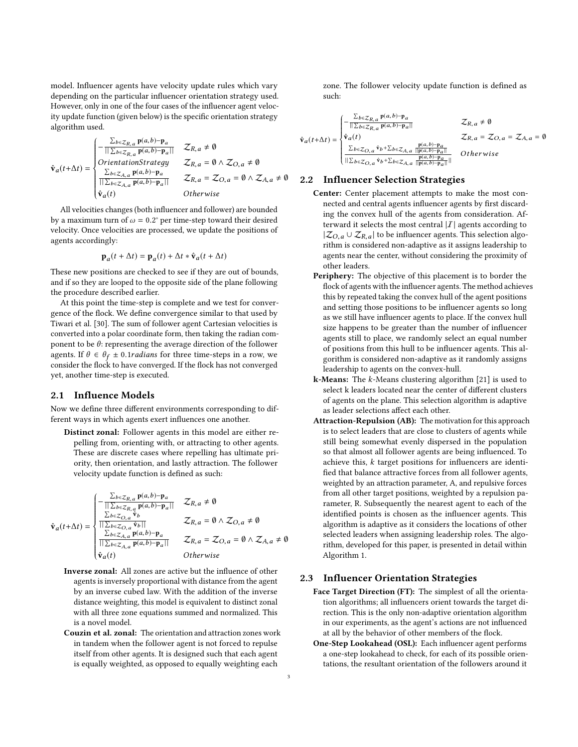model. Influencer agents have velocity update rules which vary depending on the particular influencer orientation strategy used. However, only in one of the four cases of the influencer agent velocity update function (given below) is the specific orientation strategy algorithm used.

$$
\hat{\mathbf{v}}_{a}(t+\Delta t) = \begin{cases}\n-\frac{\sum_{b \in \mathcal{Z}_{R,a}} \mathbf{p}(a,b) - \mathbf{p}_{a}}{||\sum_{b \in \mathcal{Z}_{R,a}} \mathbf{p}(a,b) - \mathbf{p}_{a}||} & \mathcal{Z}_{R,a} \neq \emptyset \\
\text{OrientationStrategy} & \mathcal{Z}_{R,a} = \emptyset \land \mathcal{Z}_{O,a} \neq \emptyset \\
\frac{\sum_{b \in \mathcal{Z}_{A,a}} \mathbf{p}(a,b) - \mathbf{p}_{a}}{||\sum_{b \in \mathcal{Z}_{A,a}} \mathbf{p}(a,b) - \mathbf{p}_{a}||} & \mathcal{Z}_{R,a} = \mathcal{Z}_{O,a} = \emptyset \land \mathcal{Z}_{A,a} \neq \emptyset \\
\hat{\mathbf{v}}_{a}(t) & \text{Otherwise}\n\end{cases}
$$

 All velocities changes (both influencer and follower) are bounded by a maximum turn of  $\omega = 0.2^{\circ}$  per time-step toward their desired velocity. Once velocities are processed, we update the positions of agents accordingly:

$$
\mathbf{p}_a(t + \Delta t) = \mathbf{p}_a(t) + \Delta t \cdot \hat{\mathbf{v}}_a(t + \Delta t)
$$

a These new positions are checked to see if they are out of bounds, and if so they are looped to the opposite side of the plane following the procedure described earlier.

At this point the time-step is complete and we test for convergence of the flock. We define convergence similar to that used by Tiwari et al. [\[30\]](#page-8-21). The sum of follower agent Cartesian velocities is converted into a polar coordinate form, then taking the radian component to be  $\theta$ : representing the average direction of the follower agents. If  $\theta \in \theta_f \pm 0.1$ radians for three time-steps in a row, we consider the flock to have converged. If the flock has not converged yet, another time-step is executed.

#### 2.1 Influence Models

Now we define three different environments corresponding to different ways in which agents exert influences one another.

Distinct zonal: Follower agents in this model are either repelling from, orienting with, or attracting to other agents. These are discrete cases where repelling has ultimate priority, then orientation, and lastly attraction. The follower velocity update function is defined as such:

$$
\hat{\mathbf{v}}_{a}(t+\Delta t) = \begin{cases}\n-\frac{\sum_{b \in \mathcal{Z}_{R,a}} p(a,b) - \mathbf{p}_{a}}{\|\sum_{b \in \mathcal{Z}_{R,a}} p(a,b) - \mathbf{p}_{a}\|} & \mathcal{Z}_{R,a} \neq \mathbf{0} \\
\frac{\sum_{b \in \mathcal{Z}_{O,a}} \hat{\mathbf{v}}_{b}}{\|\sum_{b \in \mathcal{Z}_{O,a}} \hat{\mathbf{v}}_{b}\|} & \mathcal{Z}_{R,a} = \mathbf{0} \land \mathcal{Z}_{O,a} \neq \mathbf{0} \\
\frac{\sum_{b \in \mathcal{Z}_{A,a}} p(a,b) - \mathbf{p}_{a}}{\|\sum_{b \in \mathcal{Z}_{A,a}} p(a,b) - \mathbf{p}_{a}\|} & \mathcal{Z}_{R,a} = \mathcal{Z}_{O,a} = \mathbf{0} \land \mathcal{Z}_{A,a} \neq \mathbf{0} \\
\hat{\mathbf{v}}_{a}(t) & \text{Otherwise}\n\end{cases}
$$

- Inverse zonal: All zones are active but the influence of other agents is inversely proportional with distance from the agent by an inverse cubed law. With the addition of the inverse distance weighting, this model is equivalent to distinct zonal with all three zone equations summed and normalized. This is a novel model.
- Couzin et al. zonal: The orientation and attraction zones work in tandem when the follower agent is not forced to repulse itself from other agents. It is designed such that each agent is equally weighted, as opposed to equally weighting each

zone. The follower velocity update function is defined as such:

$$
\hat{\mathbf{v}}_{a}(t+\Delta t) = \begin{cases}\n-\frac{\sum_{b \in \mathcal{Z}_{R,a}} p(a,b) - p_{a}}{\|\sum_{b \in \mathcal{Z}_{R,a}} p(a,b) - p_{a}\|} & \mathcal{Z}_{R,a} \neq \emptyset \\
\hat{\mathbf{v}}_{a}(t) & \mathcal{Z}_{R,a} = \mathcal{Z}_{O,a} = \mathcal{Z}_{A,a} = \emptyset \\
\frac{\sum_{b \in \mathcal{Z}_{O,a}} \hat{\mathbf{v}}_{b} + \sum_{b \in \mathcal{Z}_{A,a}} \frac{p(a,b) - p_{a}}{\|\mathbf{p}(a,b) - \mathbf{p}_{a}\|}}{\|\sum_{b \in \mathcal{Z}_{O,a}} \hat{\mathbf{v}}_{b} + \sum_{b \in \mathcal{Z}_{A,a}} \frac{p(a,b) - p_{a}}{\|\mathbf{p}(a,b) - \mathbf{p}_{a}\|}\n\end{cases} \text{ Otherwise}
$$

## 2.2 Influencer Selection Strategies

- Center: Center placement attempts to make the most connected and central agents influencer agents by first discarding the convex hull of the agents from consideration. Afterward it selects the most central  $|I|$  agents according to  $|Z_{O,a} \cup Z_{R,a}|$  to be influencer agents. This selection algorithm is considered non-adaptive as it assigns leadership to agents near the center, without considering the proximity of other leaders.
- Periphery: The objective of this placement is to border the flock of agents with the influencer agents. The method achieves this by repeated taking the convex hull of the agent positions and setting those positions to be influencer agents so long as we still have influencer agents to place. If the convex hull size happens to be greater than the number of influencer agents still to place, we randomly select an equal number of positions from this hull to be influencer agents. This algorithm is considered non-adaptive as it randomly assigns leadership to agents on the convex-hull.
- k-Means: The k-Means clustering algorithm [\[21\]](#page-8-31) is used to select k leaders located near the center of different clusters of agents on the plane. This selection algorithm is adaptive as leader selections affect each other.
- Attraction-Repulsion (AB): The motivation for this approach is to select leaders that are close to clusters of agents while still being somewhat evenly dispersed in the population so that almost all follower agents are being influenced. To achieve this, k target positions for influencers are identified that balance attractive forces from all follower agents, weighted by an attraction parameter, A, and repulsive forces from all other target positions, weighted by a repulsion parameter, R. Subsequently the nearest agent to each of the identified points is chosen as the influencer agents. This algorithm is adaptive as it considers the locations of other selected leaders when assigning leadership roles. The algorithm, developed for this paper, is presented in detail within Algorithm [1.](#page-3-0)

## 2.3 Influencer Orientation Strategies

- Face Target Direction (FT): The simplest of all the orientation algorithms; all influencers orient towards the target direction. This is the only non-adaptive orientation algorithm in our experiments, as the agent's actions are not influenced at all by the behavior of other members of the flock.
- One-Step Lookahead (OSL): Each influencer agent performs a one-step lookahead to check, for each of its possible orientations, the resultant orientation of the followers around it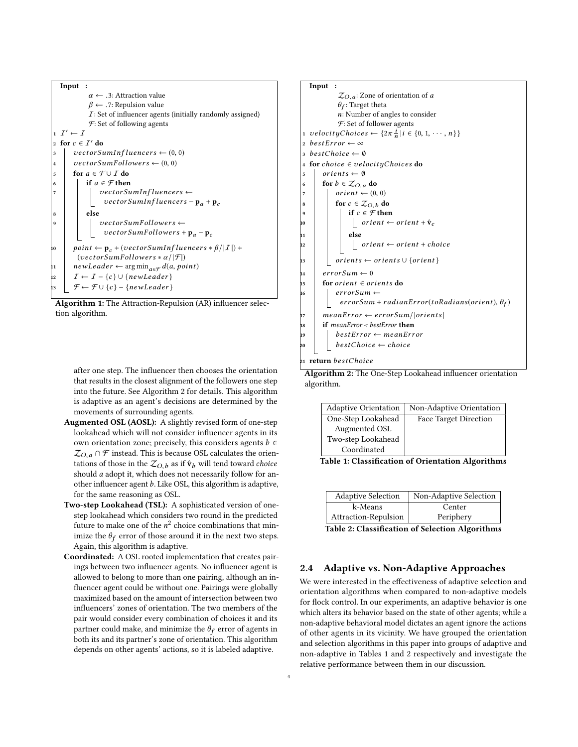<span id="page-3-0"></span>

Algorithm 1: The Attraction-Repulsion (AR) influencer selection algorithm.

after one step. The influencer then chooses the orientation that results in the closest alignment of the followers one step into the future. See Algorithm [2](#page-3-1) for details. This algorithm is adaptive as an agent's decisions are determined by the movements of surrounding agents.

- Augmented OSL (AOSL): A slightly revised form of one-step lookahead which will not consider influencer agents in its own orientation zone; precisely, this considers agents  $b \in$  $\mathcal{Z}_{O,a} \cap \mathcal{F}$  instead. This is because OSL calculates the orientations of those in the  $Z_{O,b}$  as if  $\hat{v}_b$  will tend toward *choice* should a adopt it, which does not necessarily follow for another influencer agent b. Like OSL, this algorithm is adaptive, for the same reasoning as OSL.
- Two-step Lookahead (TSL): A sophisticated version of onestep lookahead which considers two round in the predicted future to make one of the  $n^2$  choice combinations that min-<br>imize the  $\theta$ s error of those around it in the next two steps. imize the  $\theta_f$  error of those around it in the next two steps. Again, this algorithm is adaptive.
- Coordinated: A OSL rooted implementation that creates pairings between two influencer agents. No influencer agent is allowed to belong to more than one pairing, although an influencer agent could be without one. Pairings were globally maximized based on the amount of intersection between two influencers' zones of orientation. The two members of the pair would consider every combination of choices it and its partner could make, and minimize the  $\theta_f$  error of agents in both its and its partner's zone of orientation. This algorithm depends on other agents' actions, so it is labeled adaptive.

<span id="page-3-1"></span>

|     | Input:                                                                                                   |
|-----|----------------------------------------------------------------------------------------------------------|
|     | $\mathcal{Z}_{O, a}$ : Zone of orientation of a                                                          |
|     | $\theta_f$ : Target theta                                                                                |
|     | $n$ : Number of angles to consider                                                                       |
|     | $\mathcal{F}$ : Set of follower agents                                                                   |
|     | $\{1 \text{ velocity} \cap \text{R} \cup \text{R} \cup \{2\pi \frac{i}{n}   i \in \{0, 1, \dots, n\} \}$ |
|     | 2 best Error $\leftarrow \infty$                                                                         |
|     | $\alpha$ bestChoice $\leftarrow \emptyset$                                                               |
| 4   | for choice $\in$ velocity Choices do                                                                     |
| 5   | orients $\leftarrow \emptyset$                                                                           |
| 6   | for $b \in \mathcal{Z}_{O,a}$ do                                                                         |
| 7   | orient $\leftarrow$ (0, 0)                                                                               |
| 8   | for $c \in \mathcal{Z}_{O,b}$ do                                                                         |
| 9   | if $c \in \mathcal{F}$ then                                                                              |
| 10  | orient $\leftarrow$ orient + $\hat{\mathbf{v}}_c$                                                        |
| 11  | else                                                                                                     |
| 12  | $orient \leftarrow orient + choice$                                                                      |
|     |                                                                                                          |
| 13  | $orients \leftarrow orients \cup \{orient\}$                                                             |
| 14  | $errorSum \leftarrow 0$                                                                                  |
| h 5 | for <i>orient</i> $\in$ <i>orients</i> do                                                                |
| 16  | $errorSum \leftarrow$                                                                                    |
|     | $errorSum + radianError(toRadius(orient), \theta_f)$                                                     |
| 17  | $meanError \leftarrow errorSum/ orients $                                                                |
| 18  | <b>if</b> meanError $\leq$ bestError <b>then</b>                                                         |
| lı9 | $bestError \leftarrow meanError$                                                                         |
| 20  | $bestChoice \leftarrow choice$                                                                           |
|     | 21 return bestChoice                                                                                     |

Algorithm 2: The One-Step Lookahead influencer orientation algorithm.

<span id="page-3-2"></span>

| <b>Adaptive Orientation</b> | Non-Adaptive Orientation     |
|-----------------------------|------------------------------|
| One-Step Lookahead          | <b>Face Target Direction</b> |
| Augmented OSL               |                              |
| Two-step Lookahead          |                              |
| Coordinated                 |                              |

Table 1: Classification of Orientation Algorithms

<span id="page-3-3"></span>

| <b>Adaptive Selection</b>                       | Non-Adaptive Selection |  |  |  |
|-------------------------------------------------|------------------------|--|--|--|
| k-Means                                         | Center                 |  |  |  |
| Attraction-Repulsion                            | Periphery              |  |  |  |
| Tekle 9. Classification of Selection Algorithms |                        |  |  |  |

Table 2: Classification of Selection Algorithms

## 2.4 Adaptive vs. Non-Adaptive Approaches

We were interested in the effectiveness of adaptive selection and orientation algorithms when compared to non-adaptive models for flock control. In our experiments, an adaptive behavior is one which alters its behavior based on the state of other agents; while a non-adaptive behavioral model dictates an agent ignore the actions of other agents in its vicinity. We have grouped the orientation and selection algorithms in this paper into groups of adaptive and non-adaptive in Tables [1](#page-3-2) and [2](#page-3-3) respectively and investigate the relative performance between them in our discussion.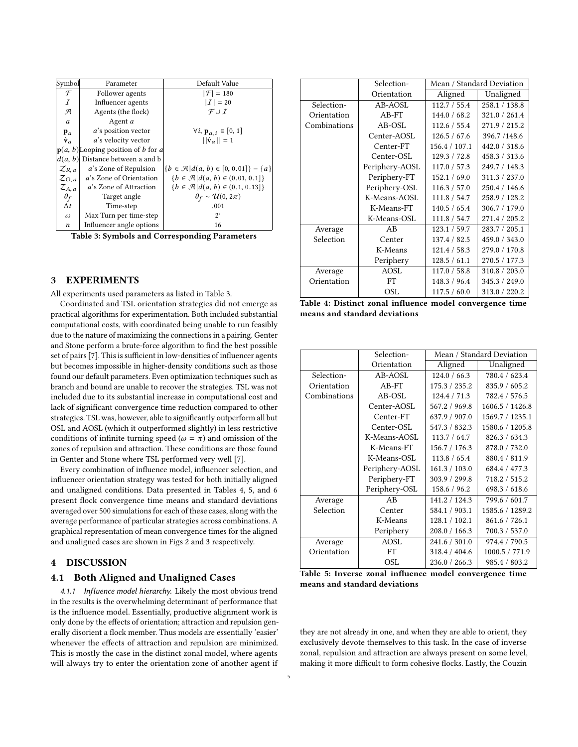<span id="page-4-1"></span>

| Symbol<br>Parameter                                  |                                       | Default Value                                           |  |  |
|------------------------------------------------------|---------------------------------------|---------------------------------------------------------|--|--|
| F                                                    | Follower agents                       | $ \mathcal{F}  = 180$                                   |  |  |
| $\cal I$                                             | Influencer agents                     | $ I  = 20$                                              |  |  |
| A                                                    | Agents (the flock)                    | $\mathcal{F} \cup I$                                    |  |  |
| a                                                    | Agent a                               |                                                         |  |  |
| $\mathbf{p}_a$                                       | a's position vector                   | $\forall i, \mathbf{p}_{a,i} \in [0, 1]$                |  |  |
| $\hat{\mathbf{v}}_a$                                 | a's velocity vector                   | $\left \left \hat{\mathbf{v}}_{a}\right \right =1$      |  |  |
|                                                      | $p(a, b)$ Looping position of b for a |                                                         |  |  |
| d(a, b)                                              | Distance between a and b              |                                                         |  |  |
| $\mathcal{Z}_{R,a}$                                  | a's Zone of Repulsion                 | $\{b \in \mathcal{A}   d(a, b) \in [0, 0.01]\} - \{a\}$ |  |  |
| a's Zone of Orientation<br>$\mathcal{Z}_{O,a}$       |                                       | ${b \in \mathcal{A}   d(a, b) \in (0.01, 0.1]}$         |  |  |
| a's Zone of Attraction<br>$\mathcal{Z}_{A,a}$        |                                       | ${b \in \mathcal{A}   d(a, b) \in (0.1, 0.13]}$         |  |  |
| $\theta_f$                                           | Target angle                          | $\theta_f \sim \mathcal{U}(0, 2\pi)$                    |  |  |
| $\Delta t$                                           | Time-step                             | .001                                                    |  |  |
| $\omega$                                             | Max Turn per time-step                | $2^{\circ}$                                             |  |  |
| n                                                    | Influencer angle options              | 16                                                      |  |  |
| <b>Table 3: Symbols and Corresponding Parameters</b> |                                       |                                                         |  |  |

## <span id="page-4-0"></span>3 EXPERIMENTS

All experiments used parameters as listed in Table [3.](#page-4-1)

Coordinated and TSL orientation strategies did not emerge as practical algorithms for experimentation. Both included substantial computational costs, with coordinated being unable to run feasibly due to the nature of maximizing the connections in a pairing. Genter and Stone perform a brute-force algorithm to find the best possible set of pairs [\[7\]](#page-8-23). This is sufficient in low-densities of influencer agents but becomes impossible in higher-density conditions such as those found our default parameters. Even optimization techniques such as branch and bound are unable to recover the strategies. TSL was not included due to its substantial increase in computational cost and lack of significant convergence time reduction compared to other strategies. TSL was, however, able to significantly outperform all but OSL and AOSL (which it outperformed slightly) in less restrictive conditions of infinite turning speed ( $\omega = \pi$ ) and omission of the zones of repulsion and attraction. These conditions are those found in Genter and Stone where TSL performed very well [\[7\]](#page-8-23).

Every combination of influence model, influencer selection, and influencer orientation strategy was tested for both initially aligned and unaligned conditions. Data presented in Tables [4,](#page-4-2) [5,](#page-4-3) and [6](#page-6-0) present flock convergence time means and standard deviations averaged over 500 simulations for each of these cases, along with the average performance of particular strategies across combinations. A graphical representation of mean convergence times for the aligned and unaligned cases are shown in Figs [2](#page-5-0) and [3](#page-5-1) respectively.

## 4 DISCUSSION

## 4.1 Both Aligned and Unaligned Cases

<span id="page-4-4"></span>4.1.1 Influence model hierarchy. Likely the most obvious trend in the results is the overwhelming determinant of performance that is the influence model. Essentially, productive alignment work is only done by the effects of orientation; attraction and repulsion generally disorient a flock member. Thus models are essentially 'easier' whenever the effects of attraction and repulsion are minimized. This is mostly the case in the distinct zonal model, where agents will always try to enter the orientation zone of another agent if

<span id="page-4-2"></span>

|              | Selection-     | Mean / Standard Deviation |               |
|--------------|----------------|---------------------------|---------------|
|              | Orientation    | Aligned                   | Unaligned     |
| Selection-   | AB-AOSL        | 112.7 / 55.4              | 258.1 / 138.8 |
| Orientation  | $AB-FT$        | 144.0 / 68.2              | 321.0 / 261.4 |
| Combinations | AB-OSL         | 112.6 / 55.4              | 271.9 / 215.2 |
|              | Center-AOSL    | 126.5 / 67.6              | 396.7 / 148.6 |
|              | Center-FT      | 156.4 / 107.1             | 442.0 / 318.6 |
|              | Center-OSL     | 129.3 / 72.8              | 458.3 / 313.6 |
|              | Periphery-AOSL | 117.0 / 57.3              | 249.7 / 148.3 |
|              | Periphery-FT   | 152.1 / 69.0              | 311.3 / 237.0 |
|              | Periphery-OSL  | 116.3 / 57.0              | 250.4 / 146.6 |
|              | K-Means-AOSL   | 111.8 / 54.7              | 258.9 / 128.2 |
|              | K-Means-FT     | 140.5 / 65.4              | 306.7 / 179.0 |
|              | K-Means-OSL    | 111.8 / 54.7              | 271.4 / 205.2 |
| Average      | AB             | 123.1 / 59.7              | 283.7 / 205.1 |
| Selection    | Center         | 137.4 / 82.5              | 459.0 / 343.0 |
|              | K-Means        | 121.4 / 58.3              | 279.0 / 170.8 |
|              | Periphery      | 128.5 / 61.1              | 270.5 / 177.3 |
| Average      | <b>AOSL</b>    | 117.0 / 58.8              | 310.8 / 203.0 |
| Orientation  | <b>FT</b>      | 148.3 / 96.4              | 345.3 / 249.0 |
|              | <b>OSL</b>     | 117.5 / 60.0              | 313.0 / 220.2 |

|  |  |                               | Table 4: Distinct zonal influence model convergence time |  |
|--|--|-------------------------------|----------------------------------------------------------|--|
|  |  | means and standard deviations |                                                          |  |

<span id="page-4-3"></span>

|              | Selection-     | Mean / Standard Deviation |                 |
|--------------|----------------|---------------------------|-----------------|
|              | Orientation    | Aligned                   | Unaligned       |
| Selection-   | AB-AOSL        | 124.0 / 66.3              | 780.4 / 623.4   |
| Orientation  | $AB-FT$        | 175.3 / 235.2             | 835.9 / 605.2   |
| Combinations | AB-OSL         | 124.4 / 71.3              | 782.4 / 576.5   |
|              | Center-AOSL    | 567.2 / 969.8             | 1606.5 / 1426.8 |
|              | Center-FT      | 637.9 / 907.0             | 1569.7 / 1235.1 |
|              | Center-OSL     | 547.3 / 832.3             | 1580.6 / 1205.8 |
|              | K-Means-AOSL   | 113.7 / 64.7              | 826.3 / 634.3   |
|              | K-Means-FT     | 156.7 / 176.3             | 878.0 / 732.0   |
|              | K-Means-OSL    | 113.8 / 65.4              | 880.4 / 811.9   |
|              | Periphery-AOSL | 161.3 / 103.0             | 684.4 / 477.3   |
|              | Periphery-FT   | 303.9 / 299.8             | 718.2 / 515.2   |
|              | Periphery-OSL  | 158.6 / 96.2              | 698.3 / 618.6   |
| Average      | AB             |                           | 799.6 / 601.7   |
| Selection    | Center         | 584.1 / 903.1             | 1585.6 / 1289.2 |
|              | K-Means        | 128.1 / 102.1             | 861.6 / 726.1   |
|              | Periphery      | 208.0 / 166.3             | 700.3 / 537.0   |
| Average      | AOSL           | 241.6 / 301.0             | 974.4 / 790.5   |
| Orientation  | <b>FT</b>      |                           | 1000.5 / 771.9  |
|              | <b>OSL</b>     | 236.0 / 266.3             | 985.4 / 803.2   |

Table 5: Inverse zonal influence model convergence time means and standard deviations

they are not already in one, and when they are able to orient, they exclusively devote themselves to this task. In the case of inverse zonal, repulsion and attraction are always present on some level, making it more difficult to form cohesive flocks. Lastly, the Couzin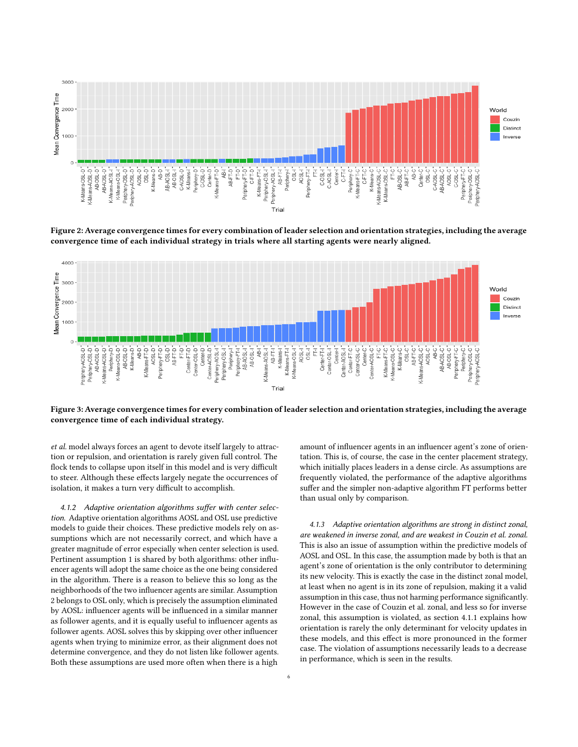<span id="page-5-0"></span>

Figure 2: Average convergence times for every combination of leader selection and orientation strategies, including the average convergence time of each individual strategy in trials where all starting agents were nearly aligned.

<span id="page-5-1"></span>

Figure 3: Average convergence times for every combination of leader selection and orientation strategies, including the average convergence time of each individual strategy.

et al. model always forces an agent to devote itself largely to attraction or repulsion, and orientation is rarely given full control. The flock tends to collapse upon itself in this model and is very difficult to steer. Although these effects largely negate the occurrences of isolation, it makes a turn very difficult to accomplish.

4.1.2 Adaptive orientation algorithms suffer with center selection. Adaptive orientation algorithms AOSL and OSL use predictive models to guide their choices. These predictive models rely on assumptions which are not necessarily correct, and which have a greater magnitude of error especially when center selection is used. Pertinent assumption 1 is shared by both algorithms: other influencer agents will adopt the same choice as the one being considered in the algorithm. There is a reason to believe this so long as the neighborhoods of the two influencer agents are similar. Assumption 2 belongs to OSL only, which is precisely the assumption eliminated by AOSL: influencer agents will be influenced in a similar manner as follower agents, and it is equally useful to influencer agents as follower agents. AOSL solves this by skipping over other influencer agents when trying to minimize error, as their alignment does not determine convergence, and they do not listen like follower agents. Both these assumptions are used more often when there is a high

amount of influencer agents in an influencer agent's zone of orientation. This is, of course, the case in the center placement strategy, which initially places leaders in a dense circle. As assumptions are frequently violated, the performance of the adaptive algorithms suffer and the simpler non-adaptive algorithm FT performs better than usual only by comparison.

<span id="page-5-2"></span>4.1.3 Adaptive orientation algorithms are strong in distinct zonal, are weakened in inverse zonal, and are weakest in Couzin et al. zonal. This is also an issue of assumption within the predictive models of AOSL and OSL. In this case, the assumption made by both is that an agent's zone of orientation is the only contributor to determining its new velocity. This is exactly the case in the distinct zonal model, at least when no agent is in its zone of repulsion, making it a valid assumption in this case, thus not harming performance significantly. However in the case of Couzin et al. zonal, and less so for inverse zonal, this assumption is violated, as section [4.1.1](#page-4-4) explains how orientation is rarely the only determinant for velocity updates in these models, and this effect is more pronounced in the former case. The violation of assumptions necessarily leads to a decrease in performance, which is seen in the results.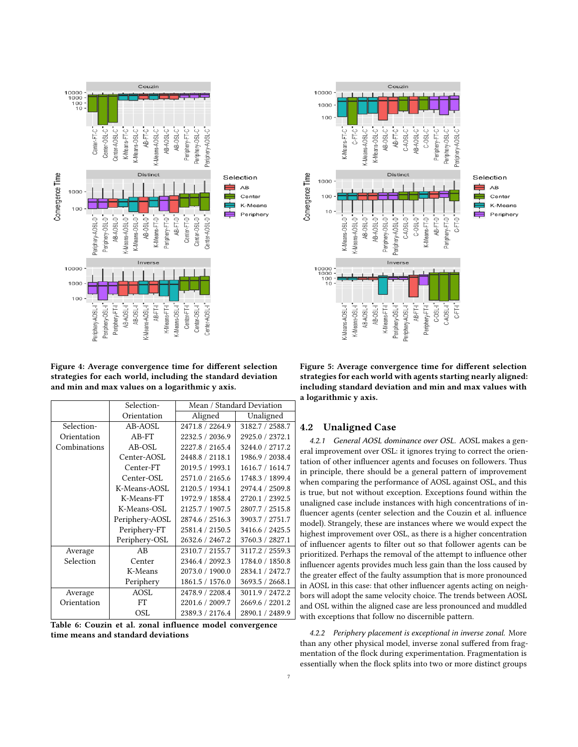

Figure 4: Average convergence time for different selection strategies for each world, including the standard deviation and min and max values on a logarithmic y axis.

<span id="page-6-0"></span>

|              | Selection-     | Mean / Standard Deviation |                 |  |
|--------------|----------------|---------------------------|-----------------|--|
|              | Orientation    | Aligned                   | Unaligned       |  |
| Selection-   | AB-AOSL        | 2471.8 / 2264.9           | 3182.7 / 2588.7 |  |
| Orientation  | $AB-FT$        | 2232.5 / 2036.9           | 2925.0 / 2372.1 |  |
| Combinations | AB-OSL         | 2227.8 / 2165.4           | 3244.0 / 2717.2 |  |
|              | Center-AOSL    | 2448.8 / 2118.1           | 1986.9 / 2038.4 |  |
|              | Center-FT      | 2019.5 / 1993.1           | 1616.7 / 1614.7 |  |
|              | Center-OSL     | 2571.0 / 2165.6           | 1748.3 / 1899.4 |  |
|              | K-Means-AOSL   | 2120.5 / 1934.1           | 2974.4 / 2509.8 |  |
|              | K-Means-FT     | 1972.9 / 1858.4           | 2720.1 / 2392.5 |  |
|              | K-Means-OSL    | 2125.7 / 1907.5           | 2807.7 / 2515.8 |  |
|              | Periphery-AOSL | 2874.6 / 2516.3           | 3903.7 / 2751.7 |  |
|              | Periphery-FT   | 2581.4 / 2150.5           | 3416.6 / 2425.5 |  |
|              | Periphery-OSL  | 2632.6 / 2467.2           | 3760.3 / 2827.1 |  |
| Average      | AB             | 2310.7 / 2155.7           | 3117.2 / 2559.3 |  |
| Selection    | Center         | 2346.4 / 2092.3           | 1784.0 / 1850.8 |  |
|              | K-Means        | 2073.0 / 1900.0           | 2834.1 / 2472.7 |  |
|              | Periphery      | 1861.5 / 1576.0           | 3693.5 / 2668.1 |  |
| Average      | <b>AOSL</b>    | 2478.9 / 2208.4           | 3011.9 / 2472.2 |  |
| Orientation  | FT             | 2201.6 / 2009.7           | 2669.6 / 2201.2 |  |
|              | OSL            | 2389.3 / 2176.4           | 2890.1 / 2489.9 |  |

Table 6: Couzin et al. zonal influence model convergence time means and standard deviations



Figure 5: Average convergence time for different selection strategies for each world with agents starting nearly aligned: including standard deviation and min and max values with a logarithmic y axis.

## 4.2 Unaligned Case

4.2.1 General AOSL dominance over OSL. AOSL makes a general improvement over OSL: it ignores trying to correct the orientation of other influencer agents and focuses on followers. Thus in principle, there should be a general pattern of improvement when comparing the performance of AOSL against OSL, and this is true, but not without exception. Exceptions found within the unaligned case include instances with high concentrations of influencer agents (center selection and the Couzin et al. influence model). Strangely, these are instances where we would expect the highest improvement over OSL, as there is a higher concentration of influencer agents to filter out so that follower agents can be prioritized. Perhaps the removal of the attempt to influence other influencer agents provides much less gain than the loss caused by the greater effect of the faulty assumption that is more pronounced in AOSL in this case: that other influencer agents acting on neighbors will adopt the same velocity choice. The trends between AOSL and OSL within the aligned case are less pronounced and muddled with exceptions that follow no discernible pattern.

<span id="page-6-1"></span>4.2.2 Periphery placement is exceptional in inverse zonal. More than any other physical model, inverse zonal suffered from fragmentation of the flock during experimentation. Fragmentation is essentially when the flock splits into two or more distinct groups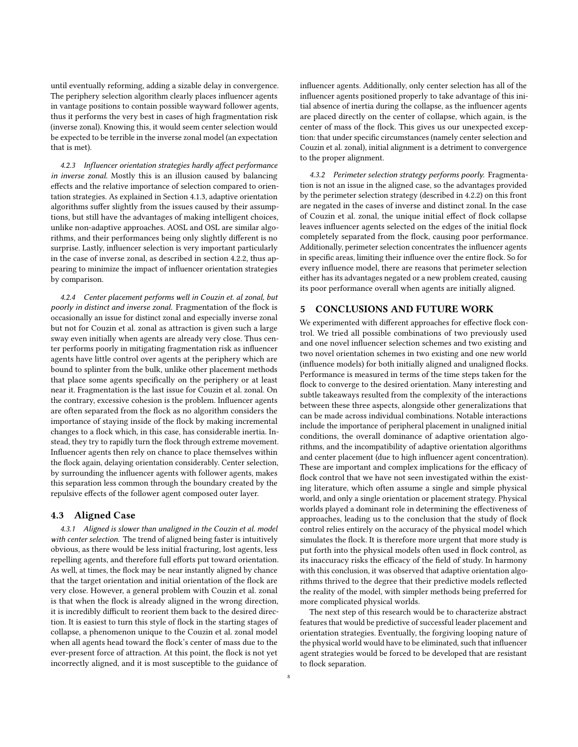until eventually reforming, adding a sizable delay in convergence. The periphery selection algorithm clearly places influencer agents in vantage positions to contain possible wayward follower agents, thus it performs the very best in cases of high fragmentation risk (inverse zonal). Knowing this, it would seem center selection would be expected to be terrible in the inverse zonal model (an expectation that is met).

4.2.3 Influencer orientation strategies hardly affect performance in inverse zonal. Mostly this is an illusion caused by balancing effects and the relative importance of selection compared to orientation strategies. As explained in Section [4.1.3,](#page-5-2) adaptive orientation algorithms suffer slightly from the issues caused by their assumptions, but still have the advantages of making intelligent choices, unlike non-adaptive approaches. AOSL and OSL are similar algorithms, and their performances being only slightly different is no surprise. Lastly, influencer selection is very important particularly in the case of inverse zonal, as described in section [4.2.2,](#page-6-1) thus appearing to minimize the impact of influencer orientation strategies by comparison.

4.2.4 Center placement performs well in Couzin et. al zonal, but poorly in distinct and inverse zonal. Fragmentation of the flock is occasionally an issue for distinct zonal and especially inverse zonal but not for Couzin et al. zonal as attraction is given such a large sway even initially when agents are already very close. Thus center performs poorly in mitigating fragmentation risk as influencer agents have little control over agents at the periphery which are bound to splinter from the bulk, unlike other placement methods that place some agents specifically on the periphery or at least near it. Fragmentation is the last issue for Couzin et al. zonal. On the contrary, excessive cohesion is the problem. Influencer agents are often separated from the flock as no algorithm considers the importance of staying inside of the flock by making incremental changes to a flock which, in this case, has considerable inertia. Instead, they try to rapidly turn the flock through extreme movement. Influencer agents then rely on chance to place themselves within the flock again, delaying orientation considerably. Center selection, by surrounding the influencer agents with follower agents, makes this separation less common through the boundary created by the repulsive effects of the follower agent composed outer layer.

#### 4.3 Aligned Case

4.3.1 Aligned is slower than unaligned in the Couzin et al. model with center selection. The trend of aligned being faster is intuitively obvious, as there would be less initial fracturing, lost agents, less repelling agents, and therefore full efforts put toward orientation. As well, at times, the flock may be near instantly aligned by chance that the target orientation and initial orientation of the flock are very close. However, a general problem with Couzin et al. zonal is that when the flock is already aligned in the wrong direction, it is incredibly difficult to reorient them back to the desired direction. It is easiest to turn this style of flock in the starting stages of collapse, a phenomenon unique to the Couzin et al. zonal model when all agents head toward the flock's center of mass due to the ever-present force of attraction. At this point, the flock is not yet incorrectly aligned, and it is most susceptible to the guidance of

influencer agents. Additionally, only center selection has all of the influencer agents positioned properly to take advantage of this initial absence of inertia during the collapse, as the influencer agents are placed directly on the center of collapse, which again, is the center of mass of the flock. This gives us our unexpected exception: that under specific circumstances (namely center selection and Couzin et al. zonal), initial alignment is a detriment to convergence to the proper alignment.

4.3.2 Perimeter selection strategy performs poorly. Fragmentation is not an issue in the aligned case, so the advantages provided by the perimeter selection strategy (described in [4.2.2\)](#page-6-1) on this front are negated in the cases of inverse and distinct zonal. In the case of Couzin et al. zonal, the unique initial effect of flock collapse leaves influencer agents selected on the edges of the initial flock completely separated from the flock, causing poor performance. Additionally, perimeter selection concentrates the influencer agents in specific areas, limiting their influence over the entire flock. So for every influence model, there are reasons that perimeter selection either has its advantages negated or a new problem created, causing its poor performance overall when agents are initially aligned.

## <span id="page-7-0"></span>5 CONCLUSIONS AND FUTURE WORK

We experimented with different approaches for effective flock control. We tried all possible combinations of two previously used and one novel influencer selection schemes and two existing and two novel orientation schemes in two existing and one new world (influence models) for both initially aligned and unaligned flocks. Performance is measured in terms of the time steps taken for the flock to converge to the desired orientation. Many interesting and subtle takeaways resulted from the complexity of the interactions between these three aspects, alongside other generalizations that can be made across individual combinations. Notable interactions include the importance of peripheral placement in unaligned initial conditions, the overall dominance of adaptive orientation algorithms, and the incompatibility of adaptive orientation algorithms and center placement (due to high influencer agent concentration). These are important and complex implications for the efficacy of flock control that we have not seen investigated within the existing literature, which often assume a single and simple physical world, and only a single orientation or placement strategy. Physical worlds played a dominant role in determining the effectiveness of approaches, leading us to the conclusion that the study of flock control relies entirely on the accuracy of the physical model which simulates the flock. It is therefore more urgent that more study is put forth into the physical models often used in flock control, as its inaccuracy risks the efficacy of the field of study. In harmony with this conclusion, it was observed that adaptive orientation algorithms thrived to the degree that their predictive models reflected the reality of the model, with simpler methods being preferred for more complicated physical worlds.

The next step of this research would be to characterize abstract features that would be predictive of successful leader placement and orientation strategies. Eventually, the forgiving looping nature of the physical world would have to be eliminated, such that influencer agent strategies would be forced to be developed that are resistant to flock separation.